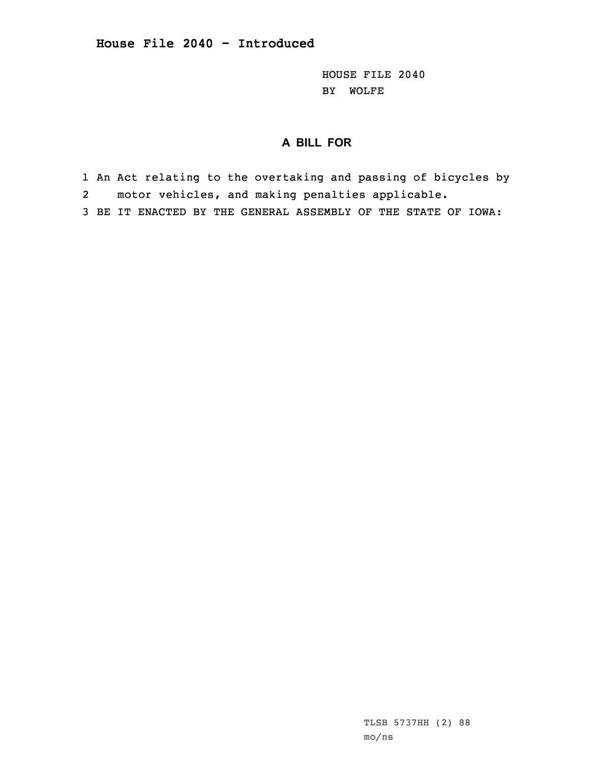HOUSE FILE 2040 BY WOLFE

## **A BILL FOR**

1 An Act relating to the overtaking and passing of bicycles by

- 2motor vehicles, and making penalties applicable.
- 3 BE IT ENACTED BY THE GENERAL ASSEMBLY OF THE STATE OF IOWA: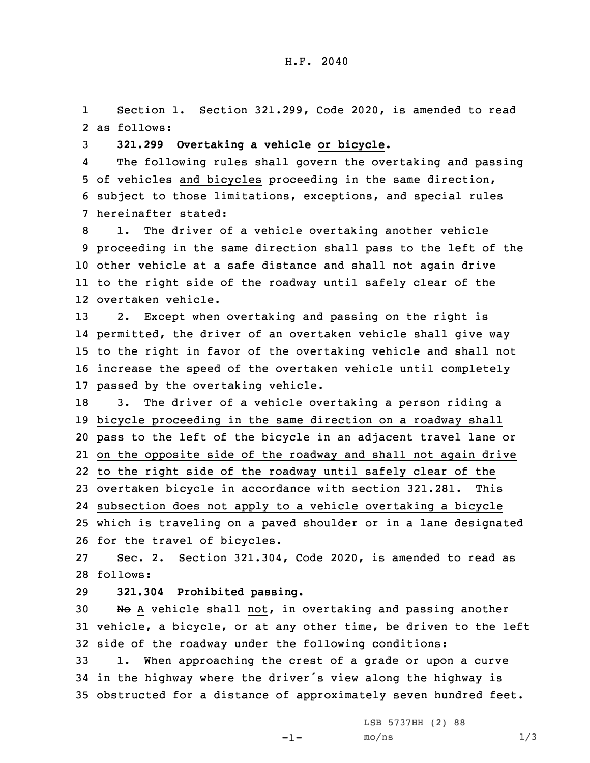1 Section 1. Section 321.299, Code 2020, is amended to read 2 as follows:

3 **321.299 Overtaking <sup>a</sup> vehicle or bicycle.**

4 The following rules shall govern the overtaking and passing 5 of vehicles and bicycles proceeding in the same direction, 6 subject to those limitations, exceptions, and special rules 7 hereinafter stated:

 1. The driver of <sup>a</sup> vehicle overtaking another vehicle proceeding in the same direction shall pass to the left of the other vehicle at <sup>a</sup> safe distance and shall not again drive to the right side of the roadway until safely clear of the overtaken vehicle.

 2. Except when overtaking and passing on the right is permitted, the driver of an overtaken vehicle shall give way to the right in favor of the overtaking vehicle and shall not increase the speed of the overtaken vehicle until completely passed by the overtaking vehicle.

 3. The driver of <sup>a</sup> vehicle overtaking <sup>a</sup> person riding <sup>a</sup> bicycle proceeding in the same direction on <sup>a</sup> roadway shall pass to the left of the bicycle in an adjacent travel lane or on the opposite side of the roadway and shall not again drive to the right side of the roadway until safely clear of the overtaken bicycle in accordance with section 321.281. This subsection does not apply to <sup>a</sup> vehicle overtaking <sup>a</sup> bicycle which is traveling on <sup>a</sup> paved shoulder or in <sup>a</sup> lane designated for the travel of bicycles.

27 Sec. 2. Section 321.304, Code 2020, is amended to read as 28 follows:

29 **321.304 Prohibited passing.**

30 No A vehicle shall not, in overtaking and passing another 31 vehicle, <sup>a</sup> bicycle, or at any other time, be driven to the left 32 side of the roadway under the following conditions:

33 1. When approaching the crest of <sup>a</sup> grade or upon <sup>a</sup> curve <sup>34</sup> in the highway where the driver's view along the highway is 35 obstructed for <sup>a</sup> distance of approximately seven hundred feet.

LSB 5737HH (2) 88

-1-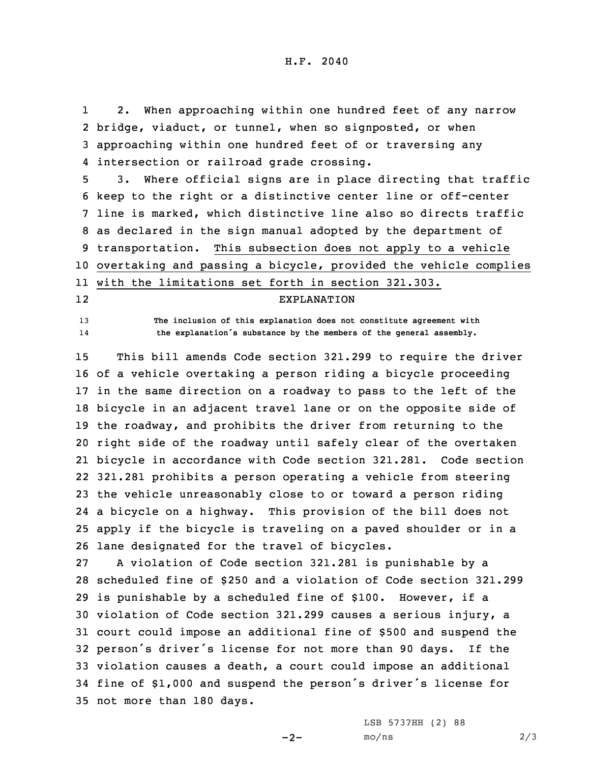1 2. When approaching within one hundred feet of any narrow 2 bridge, viaduct, or tunnel, when so signposted, or when 3 approaching within one hundred feet of or traversing any 4 intersection or railroad grade crossing.

 3. Where official signs are in place directing that traffic keep to the right or <sup>a</sup> distinctive center line or off-center line is marked, which distinctive line also so directs traffic as declared in the sign manual adopted by the department of transportation. This subsection does not apply to <sup>a</sup> vehicle overtaking and passing <sup>a</sup> bicycle, provided the vehicle complies with the limitations set forth in section 321.303.

## EXPLANATION

13 **The inclusion of this explanation does not constitute agreement with the explanation's substance by the members of the general assembly.**

12

14

 This bill amends Code section 321.299 to require the driver of <sup>a</sup> vehicle overtaking <sup>a</sup> person riding <sup>a</sup> bicycle proceeding in the same direction on <sup>a</sup> roadway to pass to the left of the bicycle in an adjacent travel lane or on the opposite side of the roadway, and prohibits the driver from returning to the right side of the roadway until safely clear of the overtaken bicycle in accordance with Code section 321.281. Code section 321.281 prohibits <sup>a</sup> person operating <sup>a</sup> vehicle from steering the vehicle unreasonably close to or toward <sup>a</sup> person riding <sup>a</sup> bicycle on <sup>a</sup> highway. This provision of the bill does not apply if the bicycle is traveling on <sup>a</sup> paved shoulder or in <sup>a</sup> lane designated for the travel of bicycles.

 <sup>A</sup> violation of Code section 321.281 is punishable by <sup>a</sup> scheduled fine of \$250 and <sup>a</sup> violation of Code section 321.299 is punishable by <sup>a</sup> scheduled fine of \$100. However, if <sup>a</sup> violation of Code section 321.299 causes <sup>a</sup> serious injury, <sup>a</sup> court could impose an additional fine of \$500 and suspend the person's driver's license for not more than <sup>90</sup> days. If the violation causes <sup>a</sup> death, <sup>a</sup> court could impose an additional fine of \$1,000 and suspend the person's driver's license for not more than 180 days.

 $-2-$ 

LSB 5737HH (2) 88  $mo/ns$  2/3